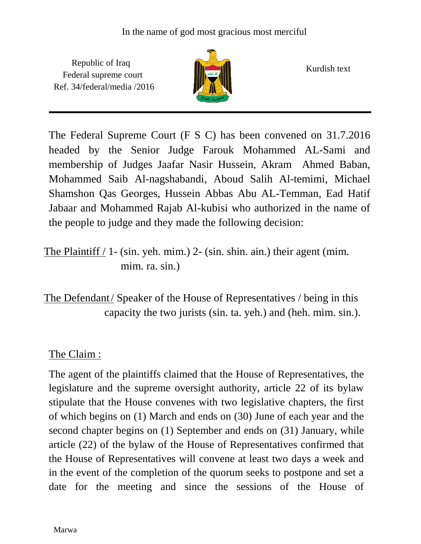Republic of Iraq Federal supreme court Ref. 34/federal/media /2016



Kurdish text

The Federal Supreme Court (F S C) has been convened on 31.7.2016 headed by the Senior Judge Farouk Mohammed AL-Sami and membership of Judges Jaafar Nasir Hussein, Akram Ahmed Baban, Mohammed Saib Al-nagshabandi, Aboud Salih Al-temimi, Michael Shamshon Qas Georges, Hussein Abbas Abu AL-Temman, Ead Hatif Jabaar and Mohammed Rajab Al-kubisi who authorized in the name of the people to judge and they made the following decision:

The Plaintiff  $/$  1- (sin. yeh. mim.) 2- (sin. shin. ain.) their agent (mim. mim. ra. sin.)

The Defendant/ Speaker of the House of Representatives / being in this capacity the two jurists (sin. ta. yeh.) and (heh. mim. sin.).

## The Claim :

The agent of the plaintiffs claimed that the House of Representatives, the legislature and the supreme oversight authority, article 22 of its bylaw stipulate that the House convenes with two legislative chapters, the first of which begins on (1) March and ends on (30) June of each year and the second chapter begins on (1) September and ends on (31) January, while article (22) of the bylaw of the House of Representatives confirmed that the House of Representatives will convene at least two days a week and in the event of the completion of the quorum seeks to postpone and set a date for the meeting and since the sessions of the House of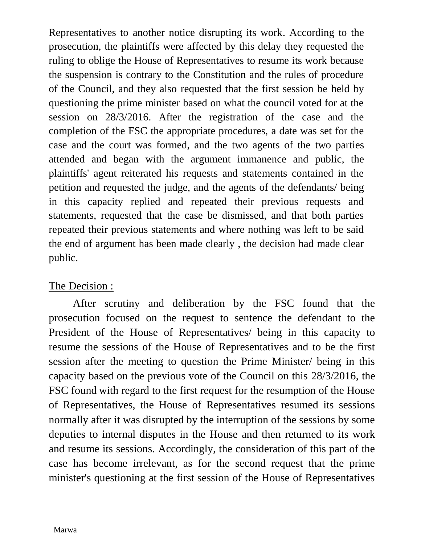Representatives to another notice disrupting its work. According to the prosecution, the plaintiffs were affected by this delay they requested the ruling to oblige the House of Representatives to resume its work because the suspension is contrary to the Constitution and the rules of procedure of the Council, and they also requested that the first session be held by questioning the prime minister based on what the council voted for at the session on 28/3/2016. After the registration of the case and the completion of the FSC the appropriate procedures, a date was set for the case and the court was formed, and the two agents of the two parties attended and began with the argument immanence and public, the plaintiffs' agent reiterated his requests and statements contained in the petition and requested the judge, and the agents of the defendants/ being in this capacity replied and repeated their previous requests and statements, requested that the case be dismissed, and that both parties repeated their previous statements and where nothing was left to be said the end of argument has been made clearly , the decision had made clear public.

## The Decision :

 After scrutiny and deliberation by the FSC found that the prosecution focused on the request to sentence the defendant to the President of the House of Representatives/ being in this capacity to resume the sessions of the House of Representatives and to be the first session after the meeting to question the Prime Minister/ being in this capacity based on the previous vote of the Council on this 28/3/2016, the FSC found with regard to the first request for the resumption of the House of Representatives, the House of Representatives resumed its sessions normally after it was disrupted by the interruption of the sessions by some deputies to internal disputes in the House and then returned to its work and resume its sessions. Accordingly, the consideration of this part of the case has become irrelevant, as for the second request that the prime minister's questioning at the first session of the House of Representatives